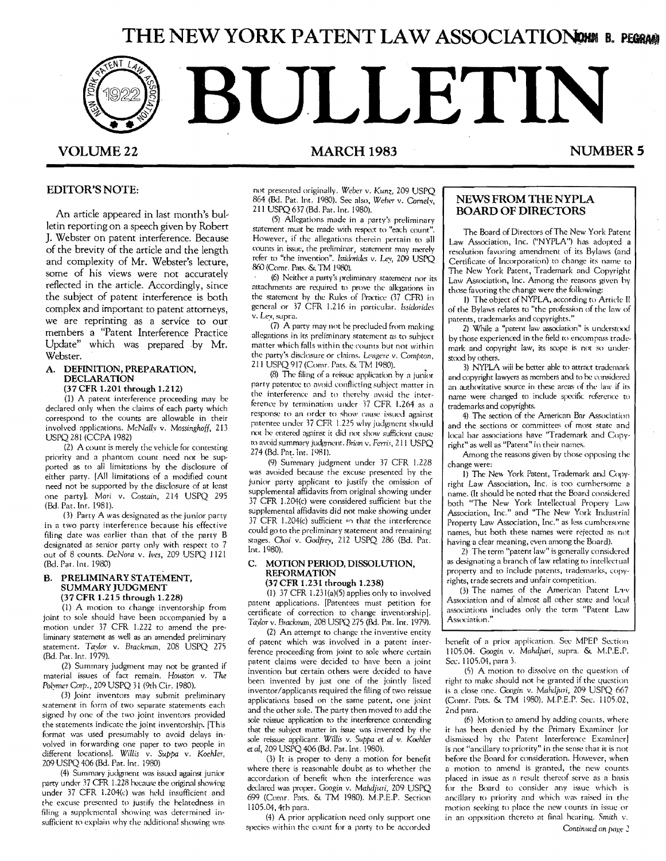# **THE NEW YORK PATENT LAW ASSOCIATIONER B. PEGRAM**



### EDITOR'S NOTE:

An article appeared in last month's bulletin reporting on a speech given by Robert ]. Webster on patent interference. Because of the brevity of the article and the length and complexity of Mr. Webster's lecture, some of his views were not accurately reflected in the article. Accordingly, since the subject of patent interference is both complex and important to patent attorneys, we are reprinting as a service to our members a "Patent Interference Practice Update" which was prepared by Mr. Webster.

### A. DEFINITION, PREPARATION, DECLARATION

### (37 CFR 1.201 through 1.212)

 (1) A patent interference proceeding may be declared only when the claims of each party which correspond to the counts are allowable in their involved applications. *McNalh* v. *Mossinghoff. 213*  USPQ281 (CCPA 1982)

(2) A count is merely the vehicle for contesting priority and a phantom count need not be supported as to all limitations by the disclosure of either party. [All limitations of a modified count need not be supported by the disclosure of at least one party]. Mori v. *Costain,* 214 USPQ 295 (Bd. Pat. Int. 1981).

0) Party A was designated as the junior party in a two party interference because his effective filing date was earlier than that of the party B designated as senior party only with respect to 7 out of 8 counts. *DeNora v. lves*, 209 USPQ 1121 (Bd. Pat. Int. 1980)

#### **B. PRELIMINARY STATEMENT,** SUMMARY JUDGMENT (37 CFR 1.215 through 1.228)

(1) A motion to change inventorship from joint to sole should have been accompanied by a motion under 37 CFR 1.222 to amend the preliminary statement as well as an amended preliminary statement. *Taylor* v. *Brackman,* 208 USPQ 275 (Bd. Par. Int. 1979).

(2) Summary judgment may not be granted if material issues of fact remain. *Houston* v. *The*  Polymer Corp., 209 USPQ 31 (9th Cir. 1980).

• (3) Joint inventors may submit preliminary statement in form of two separate statements each signed by one of the two joint inventors provided the statements indicate the joint inventorship. [This format was used presumably ro avoid delays involved in forwarding one paper to two people in different locationsl. *Willis* v. *Suppa* v. *Koehler,*  209 USPQ406 (Bd. Pat. Int. 1980)

(4) Summary judgment was issued against junior party under 37 CFR 1.228 hecause the original showing under 37 CFR 1.204(c) was held insufficient and the excuse presented to justify the belatedness in filing a supplemental showing was determined insufficient to explain why the additional showing was not presented originally. *Weber* v. *Kunz,* 209 USPQ 864 (Bd. Pat. Int. 1980). See also, *Weber v. Cornely*, 211 USPQ 637(Bd. Pat. 1m. 1980).

(5) Allegations made in a party's preliminary statement must be made with respect to "each count". However, if the allegations therein pertain to all counts in issue, the preliminar, statement may merely refer to "the invention". *Issiderides* v. Lev, 209 USPO 860 (Comr. Pats. & TM 1980).

(6) Neither a party's preliminary statement nor its attachments arc required to prove the allegations in the statement by the Rules of Practice (37 CFR) in general or 37 CFR 1.216 in particular. Issidorides v. Lev, supra.

(7) A party may not be precluded from making allegations in its preliminary statement as to subject matter which falls within the counts but not within the party's disclosure or claims. Lengere v. Compton, 211 USPQ 917 (Comr. Pats. & TM 1980). •

 $(8)$  The filing of a reissue application by a junior party patentee to avoid conflicting subject matter in the interference and to therehy avoid the interference by termination under 37 CFR 1.264 as a response to an order to show cause issued against patentee under 17 CFR 1.225 why judgment should not be entered against it did not show sufficient cause to avoid "ummary judgment. *Rrian* v. *Ferris,* 211 USPQ 274 (Bd. Pat. Int. 19R1).

(9) Summary judgment under 37 CFR 1.228 was avoided because the excuse presented by the junior party applicant to justify the omission of supplemental affidavits from original showing under 37 CFR L204(c) were considered sufficient but the supplemental affidavits did not make showing under 37 CFR 1.204(c) sufficient so that the interference could go to the preliminary statement and remaining stages. Choi v. Godfrey, 212 USPQ 286 (Bd. Pat. Inr. 1980).

#### C. MOTION PERIOD, DISSOLUTION, REFORMATION (37 CFR 1.231 through 1.238)

(I) 37 CFR 1.23I(a)(5) applies only to involved patent applications. [Patentees must petition for certificate of correction to change invenrorship]. *Tavlor* v. *Brackman,* 208 USPQ 275 (Bel. Pat. Int. 1979).

(2) An attempt to change the inventive entity of patent which was involved in a patent interference proceeding from joint to sole where certain patent claims were decided to have been a joint invention but certain others were decided to have been invented by just one of the jointly listed inventor/applicants required the filing of two reissue applications based on the same patent, one joint and the other sole. The party then moved to add the sole reissue application to the interference contending that the subject matter in issue was invented by the sole reissue applicant. Willis v. Suppa et al v. Koehler et ai, 209 USPQ 406 (Bd. Par. Int. 1980).

(3) It is proper to deny a motion for benefit where there is reasonable doubt as to whether the accordation of benefit when the interference was declared was proper. Googin v. Mahdjuri, 209 USPQ 699 (Come Pats. & TM 1980). M.P.E.P. Section 1105.04, 4tb para.

(4) A prior application need only support one species within the count for a party to be accorded

### NEWS FROM THE NYPLA BOARD OF DIRECTORS

The Board of Directors of The New York Patent Law Association, Inc. ("NYPLA") has adopted a resolution favoring amendment of its Bylaws (and Certificate of Incorporation) to change its name to 11.e New York Patent, Trademark and Copyright Law Association, Inc. Among the reasons given by those favoring the change were the following:

l) The object of NYPLA, according to Article Il of the Bylaws relates to "the profession of the law of patents, trademarks and copyrights."

2) While a "patent law association" is understood by those experienced in the field to encompass trademark and copyright law, its scope is not so understood by others.

3) NYPLA wiii be better able to attract tradcmnrk and copyright lawyers as members and to be considered an authoritative source in these areas of the law if its name were changed to include specific reference to trademarks and copyrights.

4) The section of the American Bar Association and the sections or committee; of most state and local bar associations have 'Trademark and Copyright" as well as "Patent" in their names.

Among the reasons given by those opposing the change were:

I) The Nev. York Patent, Trademark and Copyright Law Association, Inc. is too cumbersome a name. (It should be noted that the Board considered both "The New York Intellectual Propery Law Association, Inc." and "The New York Industrial Property Law Association, Inc." as less cumbersome names, but both these names were rejected as not having a dear meaning, even among the Board).

2) The term "patent law" is generally considered as designating a branch of law relating to intellectual property and to include patents, trademarks, copyrights, trade secrets and unfair competition.

(3) The names of the American Patent Law Association and of almost all other state and local associmiom includes only the term "Patent Law Association,'

henefit of a prior application. Sec MPEP Section 1105.04. *Googin* v. *Mahdjuri,* supra" & M.P.E.P. Sec. 1105.04, para 3.

(5) A motion to dissolve on the question of right to make should not he granted if the question is a close one. Googin v. *Mahdjuri,* 209 USPQ 667 (Comr. Pats. & TM 1980). M.P.E.P. Sec. 1105.02, 2nd para.

(6) Motion to amend by adding counts, where it has been denied hy the Primary Examiner lor dismissed by the Patent Interference Examiner] is not "ancillary to priority" in the sense that it is not before the Board for consideration. However, when a motion to nmend is granted, the new counts placed in issue as a result thereof serve as a basis for the Board to consider any issue whicb is ancillary to priority and which was raiscd in the motion seeking to place the new counts in issue or in an opposition thereto at final hearing. Smith v.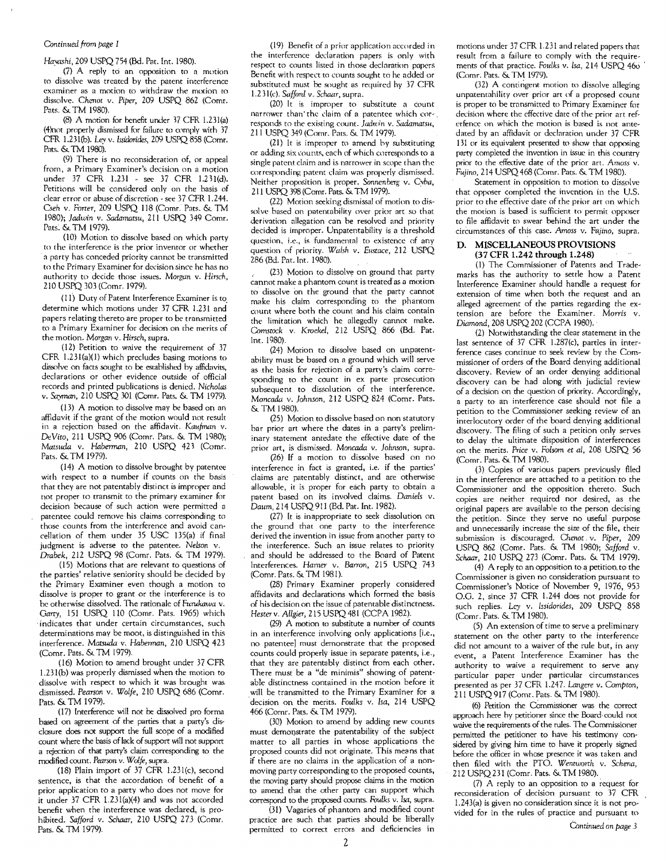#### *Continued* /rom *page 1*

*Havashi,* 209 USPQ 754 (Bd. Pat. Int. 1980).

. (7) A reply to an opposition to a motion to dissolve was treated by the patent interference examiner as a motion to withdraw the motion to dissolve. *Chenot* v. *Piper,* 209 USPQ 862 (Comr. Pats. & TM 1980).

(8) A motion for benefit under 37 CFR 1.231(a) (4)not properly dismissed for failure to comply with 37 CFR 1.231(b). Lev v. *Issidorides*, 209 USPQ 858 (Comr. Pats. & TM 1980).

(9) There is no reconsideration of, or appeal from, a Primary Examiner's decision on a motion under 37 CFR 1.231 - see 37 CFR 1.231(d). Petitions will be considered only on the basis of clear error or abuse of discretion - see 37 CFR 1.244. *Oeh* v. *Forter,* 209 USPQ 118 (Comr. Pats. & 1M *1980); Jadwin* v. *Sadamatsu,* 211 USPQ 349 Comr. Pats. & TM 1979).

(10) Motion to dissolve based on which party to the interference is the prior inventor or whether a party has conceded priority cannot be transmitted to the Primary Examiner for decision since he has no authority to decide those issues. *Morgan* v. *Hirsch,*  210 USPQ 303 (Comr. 1979).

(11) Duty of Patent Interference Examiner is to. determine which motions under 37 CPR 1.231 and papers relating thereto are proper to be transmitted to a Primary Examiner for decision on the merits of the motion. *Morgan* v. *Hirsch,* supra.

(12) Petition to waive the requirement of 37 CFR 1.231(a)(1) which precludes basing motions to dissolve on facts sought to be established by affidavits, declarations or other evidence outside of official records and printed publications is denied. *Nicholas* v. Sayman, 210 USPQ 301 (Comr. Pats. & TM 1979).

(13) A motion to dissolve may be based on an affidavit if the grant of the motion would not result in a rejection based on the affidavit. *Kaufman* v. *DeVito,* 211 USPQ 906 (Comr. Pats. & 1M 1980); *Mamula* v. *Haberman,* 2!0 USPQ 421 (Come. Pats. & TM 1979).

(14) A motion to dissolve brought by patentee with respect to a number if counts on the basis that they are not patentably distinct is improper and not proper to transmit to the primary examiner for decision because of such action were permitted a patentee could remove his claims corresponding to those counts from the interference and avoid cancellation of them under 35 USC 135(a) if final judgment is adverse to the patentee. *Nelson* v. *Drabek,* 212 USPQ 98 (Comr. Pats. & TM 1979).

(15) Motions that are relevant to questions of the parties' relative seniority should be decided by the Primary Examiner even though a motion to dissolve is proper to grant or the interference is to be otherwise dissolved. The rationale of *Furukawa* v. *Garry,* IS! USPQ 110 (Comr. Pats. 1965) which indicates that under certain circumstances, such determinations may be moot, is distinguished in this interference. *Matsuda* v. *Haberman,* 2!0 USPQ 423 (Comr. Pats. & 1M 1979).

(16) Motion to amend brought under 37 CFR 1.231(h) was properly dismissed when the motion to dissolve with respect to which it was brought was dismissed. *Pearson* v. *Wolfe,* 210 USPQ 686 (Comr. Pats. & TM 1979).

(17) Interference will not be dissolved pro forma based on agreement of the parties that a party's disclosure docs not support the full scope of a modified count where the basis of lack of support will not support a rejection of that party's claim corresponding to the modified count. *Pearson* v. *Wolfe,* supra.

(18) Plain import of 37 CFR l.231(c), second sentence, is that the accordation of benefit of a prior application to a party who does not move for it under 37 CFR 1.231(a)(4) and was not accorded benefit when the interference was declared, is prohibited. *Safford* v. *Schaar,* 210 USPQ 273 (Come. Pats. & TM 1979).

(19) Benefit of a prior application accorded in the interference declaration papers is only with respect to counts listed in those declaration papers Benefit with respect to counts sought to he added or substituted must be sought as required hy 37 CFR 1.23I(c). *Safford* v. *Schaar,* supra.

(20) It is improper to substitute a count narrower than' the claim of a patentee which cor-. responds to the existing count. *Jadwin v. Sadamatsu*, 211 USPQ 349 (Comr. Pars. & 1M 1979).

(21) It is improper to amend by substituting or adding six counts, each of which corresponds to a single patent claim and is narrower in scope than the corresponding patent claim was properly dismissed. Neither proposition is proper. Sonnenberg v. Cyba, 211 USPQ 398 (Comr. Pats. & TM 1979).

(22) Motion seeking dismissal of motion to dissolve based on patentability over prior art so that derivation allegation can be resolved and priority decided is improper. Unpatentability is a threshold question, i.e., is fundamental to existence of any question of priority. *Walsh v. Eustace*, 212 USPQ 286 (Ed. Par. Int. 1980).

(23) Motion to dissolve on ground that party cannot make a phantom count is treated as a motion to dissolve on the ground that the party cannot make his claim corresponding to the phantom count where both the count and his claim contain the limitation which he allegedly cannot make. *Olmstock* v. *Krockel,* 212 USPQ 866 (Bd. Pat. Int. 1980).

(24) Motion to dissolve based on unpatentability must be based on a ground which will serve as the basis for rejection of a party's claim corresponding to the count in ex parte prosecution subsequent to dissolution of the interference. *Moncada v. Johnson, 212 USPQ 824 (Comr. Pats.* & TMI980).

(25) Motion to dissolve based on non statutory bar prior art where the dates in a party's preliminary statement antedate the effective date of the prior art, is dismissed. *Moncada* v. *lohnson,* supra.

(26) [f a motion to dissolve based on no interference in fact is granted, i.e. if the parties' claims are patentably distinct, and are otherwise allowable, it is proper for each party to obtain a patent based on its involved claims. *Daniels* v. *Dattm,* 214 USPQ 911 (Bd. Pat. Int. 1982).

(27) It is inappropriate to seek dissolution on the ground that one party to the interference derived the invention in issue from another party to the interference. Such an issue relates to priority and should be addressed to the Board of Patent Interferences. *Hamer* v. *Barron,* 215 USPQ 743 (Comr. Pats. & TM 1981).

(28) Primary Examiner properly considered affidavits and declarations which formed the basis of his decision on the issue of patentable distinctness. *Hester* v. *Allgier,* 215 USPQ 481 (CCPA 1982).

(29) A motion to substitute a number of counts in an interference involving only applications [i.e., no patentee] must demonstrate that the proposed counts could properly issue in separate patents, i.e., that they are patentably distinct from each other. There must be a "de minimis" showing of patentable distinctness contained in the motion before it will be transmitted to the Primary Examiner for a "decision on the merits. *Foulks* v. *Isa,* 214 USPQ 466 (Comr. Pats. & TM 1979).

(30) Motion to amend by adding new counts must demonstrate the patentability of the subject matter to all parties in whose applications the proposed counts did not originate. This means that if there are no claims in the application of a nonmoving party corresponding to the proposed counts, the moving party should propose claims in the motion to amend that the other party can support which correspond to the proposed counts. *Foulks* v. *Isa,* supra.

(31) Vagaries of phantom and modified count practice are such that parties should be liberally permitted to correct errors and deficiencies in

motions under 37 CPR 1.231 and related papers that result from a failure to comply with the requirements of that practice. *Foulks* v. *lsa,* 214 USPQ 460 ' (Comr. Pats. & TM 1979).

(32) A contingent motion to dissolve alleging unpatentahility over prior art of a proposed count is proper to be transmitted to Primary Examiner for decision where the effective date of the prior art referfence on which the motion is based is not antedated by an affidavit or declaration under 37 CPR 131 or its equivalent presented to show that opposing party completed the invention in issue in this country prior to the effective date of the prior art. *Amoss* v. Fujino, 214 USPQ 468 (Comr. Pats. & 1M 1980).

Statement in opposition to motion to dissolve that opposer completed the invention in the U.S. prior to the effective date of the prior art on which the motion is based is sufficient to permit opposer to file affidavit to swear behind the art under the circumstances of this case. Amoss v. Fajino, supra.

#### D. MISCELLANEOUS PROVISIONS (37 CPR 1.242 through 1.248)

(1) The Commissioner of Patents and Trademarks has the authority to settle how a Patent Interference Examiner should handle a request for extension of time when both the request and an alleged agreement of the parties regarding the extension are before the Examiner. *Morris* v. *Diamond,* 208 USPQ 202 (CCPA 1980). '

(2) Notwithstanding the clear statement in the last sentence of 37 CFR 1.287(c), parties in interference cases continue to seek review by the Commissioner of orders of the Board denying additional discovery. Review of an order denying additional discovery can be had along with judicial review of a decision on the question of priority. Accordingly, a party to an interference case should not file a petition to the Commissioner seeking review of an interlocutory order of the board denying additional discovery. The filing of such a petition only serves to delay the ultimate disposition of interferences on the merits. *Price* v. *Folsom et ai,* 208 USPQ 56 (Comr. Pats. & TM 1980).

(3) Copies of various papers previously filed in the interference are attached to a petition to the Commissioner and the opposition thereto. Such copies are neither required nor desired, as the original papers are available to the person decising the petition. Since they serve no useful purpose and unnecessarily increase the size of the file, their submission is discouraged. Chenot v. Piper, 209 USPQ 862 (Comr. Pats. & 1M 1980); *Safford* v. *Schaar,* 210 USPQ 273 (Comr. Pats. & 1M 1979).

(4) A reply to an opposition to a petition. to the Commissioner is given no consideration pursuant to Commissioner's Notice of November 9, 1976, 953 O.G. 2, since 37 CFR 1.244 does not provide for such replies. *Ley* v. *lssidorides,* 209 USPQ 858 (Comr. Pats. & TM 1980).

(5) An extension of time to serve a preliminary statement on the other party to the interference did not amount to a waiver of the rule but, in any event, a Patent Interference Examiner has the authority to waive a requirement to serve any particular paper under particular circumstances presented as per 37 CFR 1.247. *Langere* v. Compton, 211 USPQ 917 (Comr. Pats. & 1M 1980).

(6) Petition the Commissioner was the correct approach here by petitioner since the Board, could not waive the requirements of the rules. The Commissioner permitted the petitioner to have his testimony considered by giving him time to have it properly signed before the officer in whose presence it was taken and then filed with the *Wentworth* v. *Schena,*  212 USPQ 231 (Comr. Pats. & TM 1980).

(7) A reply to an opposition to a request for reconsideration of decision pursuant to 37 CPR 1.243(a) is given no consideration since it is not provided for in the rules of practice and pursuant to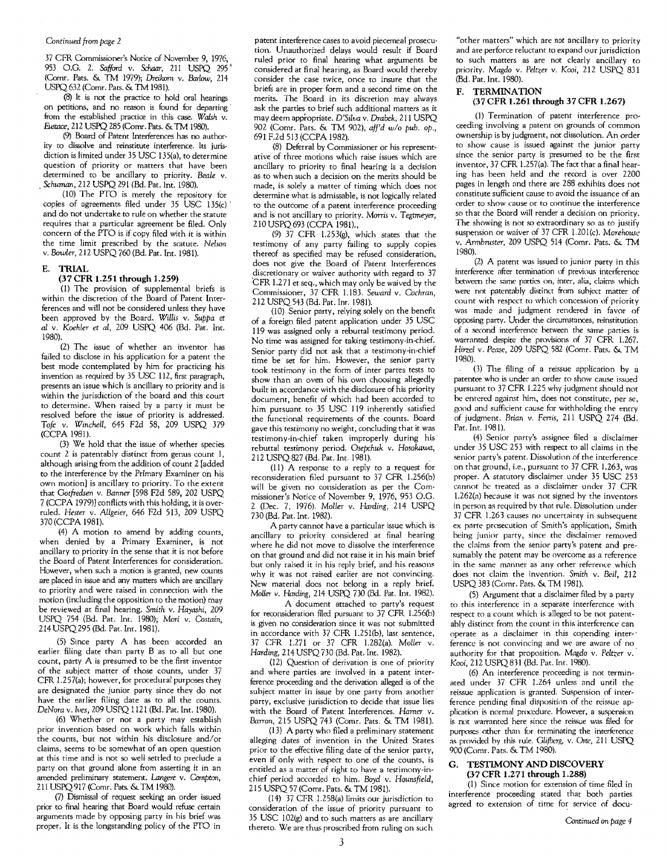### *Continued from page 2*

37 CFR Commissioner's Notice of November 9, 1976, 953 0.0. 2. *Safford* v. *Schaar,* 211 USPQ 295 <sup>I</sup> (Comr. Pats. & TM 1979); Dreikom v. Barlow, *214*  USPQ 632 (Comr. Pats. & TM 1981).

(8) It is not the practice to hold oral hearings on petitions, and no reason is found for departing from the established practice in this case. Walsh v. Fustace, 212 USPQ 285 (Comr. Pats. & TM 1980).

(9) Board of Patent Interferences has no authority to dissolve and reinstitute interference. Its jurisdiction is limited under 35 USC 135(a), to determine question of priority or matters that have been determined to be ancillary to priority. *Beale* v. *Schuman, 212 USPQ 291 (Bd. Pat. Int. 1980).* 

(10) The PTO is merely the repository for copies of agreements filed under  $35 \text{ USC}$  135(c) and do not undertake to rule on whether the statute requires that a particular agreement be filed. Only concern of the PTO is if copy filed with it is within the time limit prescribed by the scatute. *Nelson*  v. *Bawler,* 212 USPQ 760 (Bd. Pat. Int. 1981).

#### **E.** TRIAL

#### (37 CFR 1.251 through 1.259)

(1) The provision of supplemental briefs is within the discretion of the Board of Patent Interferences and will not be considered unless they have been approved by the Board. *Willis* v. *Suppa et*  al v. *Koehler et ai,* 209 USPQ 406 (Bd. Pat. Int. 1980).

(2) The issue of whether an inventor has failed to disclose in his application for a patent the best mode contemplated by him for practicing his invention as required by 35 USC 112, first paragraph, presents an issue which is ancillary to priority and is within the jurisdiction of the board and this court to determine. When raised by a party it must be resolved before the issue of priority is addressed. *Tofe* v. *Winchell,* 645 F2d 58, 209 USPQ 379 (CCPA 1981).

(3) We hold that the issue of whether species count 2 is patentably distinct from genus count 1, although arising from the addition of count 2 {added to the interference by the Primary Examiner on his own motion] is ancillary to priority. To the extent that *Ootfredsen* v. *Banner* [598 F2d 589, 202 USPQ 7 (CCPA 1979)] conflicts with this holding, it is overruled. *Hester* v. *Allgeier,* 646 F2d 513, 209 USPQ 370 (CCPA 1981).

(4) A motion to amend by adding counts, when denied by a Primary Examiner, is not ancillary to priority in the sense that it is not before the Board of Patent Interferences for consideration. However, when such a motion is granted, new counts are placed in issue and any matters which arc ancillary to priority and were raised in connection with the motion (including the opposition to the motion) may be reviewed at final hearing. *Smith* v. *Hayashi,* 209 USPQ 754 (Bd. Pat. Int. 1980); *Mori* v. *Costain,*  214 USPQ295 (Bd. Pat. Int. 1981).

(5) Since party A has been accorded an earlier filing date than party B as to all but one count, party A is presumed to be the first inventor of the subject matter of those counts, under 37 CFR 1.257(a); however, for procedural purposes they are designated the junior party since they do not have the earlier filing date as to all the counts. *DeNora v./ves,* 209 USPQ 1121 (Bd. Pat. Int. 1980).

(6) Whether or not a party may establish prior invention based on work which falls within the counts, but not within his disclosure and/or claims, seems to be somewhat of an open question at this time and is not so well settled to preclude a party on that ground alone from asserting it in an amended preliminary statement. *Langere* v. *Compton,*  211 USPQ917 (Comr. Pats. & TM 1980).

(7) Dismissal of request seeking an order issued prior to final hearing that Board would refuse certain arguments made by opposing party in his brief was proper. It is the longstanding policy of the PTO in

patent interference cases to avoid piecemeal prosecution. Unauthorized delays would result if Board ruled prior co final hearing what arguments be considered at final hearing, as Board would thereby consider the case twice, once to insure that the briefs are in proper form and a second time on the merits. The Board in its discretion may always ask the parties to brief such additional matters as it may deem appropriate. *D'Silva* v. *Drabek,* 211 USPQ 902 (Comr. Pats. & TM 902), *affd wlo pub. op.,*  691 F.2d 513 (CCPA 1982).

(8) Deferral by Commissioner or his representative of three motions which raise issues which are ancillary to priority to final hearing is a decision as to when such a decision on the merits should be made, is solely a matter of timing which does not determine what is admissable, is not logically related to the outcome of a patent interference proceeding and is not ancillary to priority. *Morris* v. *Tegtmeyer,*  2lOUSPQ693 (CCPA 1981).,

(9) 37 CPR 1.253(g), which states that the testimony of any party failing to supply copies thereof as specified may be refused consideration, does not give the Board of Patent Interferences discretionary or waiver authority with regard to 37 CFR 1.271 et seq., which may only be waived by the Commissioner, 37 CPR 1.183. *Seward* v. *Cochran,*  212 USPQ543 (Bd. Pat. Int. 1981).

(10) Senior party, relying solely on the benefit of a foreign filed patent application under 35 USC 119 was assigned only a rebuttal testimony period. No time was assigned for taking testimony-in-chief. Senior party did not ask that a testimony-in-chief time be set for him. However, the senior party took testimony in the form of inter partes tests to show than an oven of his own choosing allegedly built in accordance with the disclosure of his priority document, benefit of which had been accorded to him pursuant to 35 USC 119 inherently satisfied the functional requirements of the counts. Board gave this testimony no weight, concluding that it was testimony-in-chief taken improperly during his rebuttal testimony period. *Osepchuk* v. *Hosokawa,*  212 USPQ827 (Bd. Pat. Int. 1981).

(11) A response to a reply to a request for reconsideration filed pursuant to 37 CFR 1.256(b) will be given no consideration as per the Commissioner's Notice of November 9, 1976, 953 0.0. 2 (Dec. 7, 1976). *Moller* v. *Harding,* 214 USPQ 730 (Bd. Pat. Int. 1982).

A party cannot have a particular issue which is ancillary to priority considered at final hearing where he did not move to dissolve the interference on that ground and did not raise it in his main brief but only raised it in his reply brief, and his reasons why it was not raised earlier are not convincing. New material does not belong in a reply brief. *MoUer* v. Harding, 214 USPQ 730 (Bd. Par. Int. 1982).

A document attached to party's request for reconsideration filed pursuant to 37 CFR 1.256(b) is given no consideration since it was not submitted in accordance with 37 CFR 1.251(b), last sentence, 37 CFR 1.271 or 37 CFR 1.282(a). *Moller* v. *Harding,* 214 USPQ 730 (Bd. Pat. Int. 1982).

(12) Question of derivation is one of priority and where parties are involved in a patent interference proceeding and the derivation alleged is of the subject matter in issue by one party from another parry, exclusive jurisdiction to decide that issue lies with the Board of Patent Interferences. *Hamer* v. *Barron,* 215 USPQ 743 (Comr. Pats. & TM 1981).

(13) A party who filed a preliminary statement alleging dates of invention in the United States prior to the effective filing date of the senior party, even if only with respect to one of the counts, is entitled as a matter of right to have a testimony-inchief period accorded to him. *Boyd* v. *Hounsfield,*  2 IS USPQ 57 (Comr. Pats. & TM 1981).

(14) 37 CFR 1.258(a) limits our jurisdiction to consideration of the issue of priority pursuant to 35 USC 102(g) and to such matters as are ancillary thereto. We are thus proscribed from ruling on such

"other matters" which are *not* ancillary to priority and are perforce reluctant to expand our jurisdiction to such matters as are not clearly ancillary to priority. *Magda* v. *Peltzer* v. *Kooi,* 212 USPQ 831 (Bd. Pat. Int. 1980).

### F. TERMINATION

#### (37 CFR l.261 through 37 CFR 1.267)

(I) Termination of patent interference proceeding involving a patent on grounds of common ownership is by judgment, not dissolution. An order to show cause is issued against the junior party since the senior party is presumed to be the first inventor, 37 CFR 1.257(a). The fact that a final hearing has been held and the record is over 2200 pages in length and there are 288 exhibits does not constitute sufficient cause to avoid the issuance of an order to show cause or to continue the interference so that the Board will render a decision on priority. The showing is not so extraordinary so as to justify suspension Or waiver of 37 CFR 1.201(c). *Morehouse*  v. *Armbruster,* 209 USPQ 514 (Comr. Pats. & TM 1980).

(2) A patent was issued ro junior party in this interference atter termination of previous interference between the same parties on, inter, alia, claims which were not patentably distinct from subject matter of count with respect to which concession of priority was made and judgment rendered in favor of opposing party. Under the circumstances, reinstitution of a second interference between the same parties is warranted despite the provisions of 37 CFR 1.267. *Hirzel* v. Pease, 209 USPQ 582 (Comr. Pats. & TM 1980).

(3) The filing of a reissue application by a patentee who is under an order to show cause issued pursuant to 37 CFR 1.225 why judgment should not be entered against him, does not constitute, per se, good and sufficient cause for withholding the entry of judgment. *Brian* v. *Ferris,* 211 USPQ 274 (Bd. Par. Int. 1981).

(4) Senior party's assignee filed a disclaimer under 35 USC 253 with respect to all claims in the senior party's patent. Dissolution of the interference on that ground, i.e., pursuant to 37 CFR 1.263, was proper. A statutory disclaimer under 35 USC 253 cannot be treated as a disclaimer under 37 CFR  $1.262(a)$  because it was not signed by the inventors in person as required by that rule. Dissolution under 37 CFR 1.263 causes no uncertainty in subsequent ex parte prosecution of Smith's application, Smith being junior party, since the disclaimer removed the claims from the senior party's patent and presumably the patent may be overcome as a reference in the same manner as any orher reference which does not claim the invention. *Smith* v. Bed, 212 USPQ 383 (Comr. Pats. & TM 1981).

(5) Argument that a disclaimer filed by a party to this interference in a separate interference with respect to a count which is alleged to be not patentably distinct from the count in this interference can operate as a disclaimer in this copending inter-' ference is not convincing and we are aware of no authority for that proposition. Magdo v. Peltzer v. *Kooi,* 212 USPQ831 (Bd. Pat. Int. 1980).

(6) An interference proceeding is not terminated under 37 CFR 1.264 unless and until the reissue application is granted. Suspension of interference pending final disposition of the reissue application is normal procedure. However, a suspension is not warranted here since the reissue was filed for purposes other than br terminating the interference as provided by this rule. *Glifberg*, v. Orte, 211 USPQ 900 (Cnmr. Pats. & TM 1980).

#### G. TESTIMONY AND DISCOVERY (37 CFR 1.271 through 1.288)

(1) Since motion for extension of time filed in interference proceeding stated that both parties agreed to extension of time for service of docu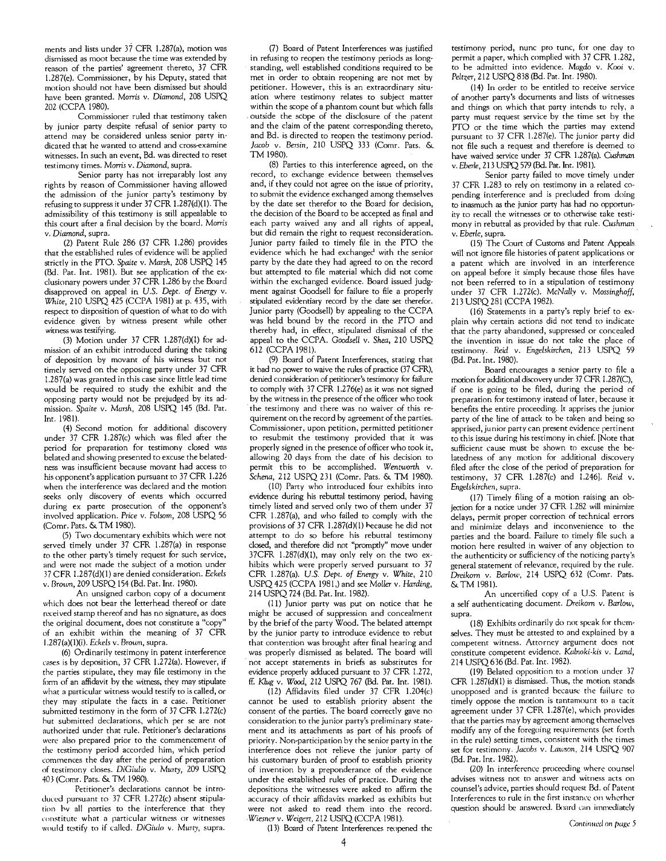ments and lists under 37 CFR 1.287(a), motion was dismissed as moot because the time was extended by reason of the parties' agreement thereto, 37 CFR 1.287(e). Commissioner, by his Deputy, stated that motion should not have been dismissed but should have been granted. Morris v. *Diamond,* 208 USPQ 202 (CCPA 1980).

Commissioner ruled that testimony taken by junior party despite refusal of senior party to attend may be considered unless senior party indicated that he wanted to attend and cross-examine witnesses. In such an event, Bd. was directed to reset testimony times. *Morris* v. *Diamond,* supra.

Senior party has not irreparably lost any rights hy reason of Commissioner having allowed the admission of the junior party's testimony by refusing to suppress it under 37 CFR 1.287(d)(I). The admissibility of this testimony is still appealable to this court after a final decision by the board. *Morris*  v. *Diamond,* supra.

(2) Patent Rule 286 (37 CFR 1.286) provides that the established rules of evidence will be applied strictly in the PTO. *Spaite* v. *Marsh,* 208 USPQ 145 (Ed. Pat. Int. 1981). But see application of the exclusionary powers under 37 CFR 1.286 by the Board disapproved on appeal in *U.S. Dept. of Energy* v. *White,* 210 USPQ 425 (CCPA 1981) at p. 435, with respect to disposition of question of what to do with evidence given by witness present while other witness was testifying.

(3) Motion under 37 CFR 1.287(d)(I) for admission of an exhibit introduced during the taking of deposition by movant of his witness but not timely served on the opposing party under 37 CFR 1.287(a) was granted in this case since little lead time would be required to study the exhibit and the opposing party would not be prejudged by its admission. *Spaite* v. *Marsh,* 208 USPQ 145 (Ed. Pat. Int. 1981).

(4) Second motion for additional discovery under 37 CFR 1.287(c) which was filed after the period for preparation for testimony closed was belated and showing presented to excuse the belatedness was insufficient because movant had access to his opponent's application pursuant to 37 CFR 1.226 when the interference was declared and the motion seeks only discovery of events which occurred during ex parte prosecution of the opponent's involved application. Price v. *Folsom,* 208 USPQ 56 (Comr. Pats. & TM 1980).

(5) Two documentary exhibits which were not served timely under 37 CFR 1.287(a) in response *to* the other party's timely request for such service, and were not made the subject of a motion under 37 CFR 1.287(d)(I) are denied consideration. *Eckels*  v. Brown, 209 USPQ 154 (Bd. Pat. Int. 1980).

An unsigned carhon copy of a document which does not bear the letterhead thereof or date received stamp thereof and has no signature, as does the original document, does not constitute a "copy" of an exhibit within the meaning of 37 CFR 1.287(a)(I)(i). *Eckels* v. *Brown,* supra.

(6) Ordinarily testimony in patent interference cases is hy deposition, 37 CFR 1.272(a). However, if the parties stipulate, they may file testimony in the form of an affidavit hy the wimess, they may stipulate what a particular witness would testify to is called, or they may stipulate the facts in a case. Petitioner suhmitted testimony in the form of 37 CFR 1.272(c) hut submitted declarations, which per se are not authorized under that rule. Petitioner's declarations were also prepared prior to the commencement of the testimony period accorded him, which period commences the day after the period of preparation of testimony closes. *DiGiulio* v. *Murty,* 209 USPQ 40.3 (Comr. Pats. & TM 1980).

Petitioner's declarations cannot be introduced pursuant to 37 CFR 1.272(c) ahsent stipulation hv all parties to the interference that they **cOllstitute what a particular witness or witnesses**  would testify to if called. *DiGiulo* v. *Murty,* supra.

(7) Board of Patent Interferences was justified in refusing to reopen the testimony periods as longstanding, well established conditions required to be met in order to obtain reopening are not met by petitioner. However, this is an extraordinary situation where testimony relates to subject matter within the scope of a phantom count but which falls outside the scope of the disclosure of the patent and the claim of the patent corresponding thereto, and Bd. is directed to reopen the testimony period. *Jacob* v. Bersin, 210 USPQ 333 (Comr. Pats. & TM 1980).

(8) Parties to this interference agreed, on the record, to exchange evidence between themselves and, if they could not agree on the issue of priority, to submit the evidence exchanged among themselves by the date set therefor to the Board for decision, the decision of the Board to be accepted as final and each party waived any and all rights of appeal, but did remain the right to request reconsideration. Junior party failed to timely file in the PTO the evidence which he had exchangec' with the senior party by the date they had agreed to on the record but attempted to file material which did not come within the exchanged evidence. Board issued judgment against Goodsell for failure to file a properly stipulated evidentiary record by the date set therefor. Junior party (Goodsell) by appealing to the CCPA was held bound by the record in the PTO and thereby had, in effect, stipulated dismissal of the appeal to the CCPA. *Goodsell* v. *Shea,* 210 USPQ 612 (CCPA 1981).

(9) Board of Patent Interferences, stating that it had no power to waive the rules of practice (37 CFR), denied consideration of petitioner's testimony for failure to comply with 37 CFR 1.276(e) as it was not signed by the witness in the presence of the officer who took the testimony and there was no waiver of this requirement on the record hy agreement of the parties. Commissioner, upon petition, permitted petitioner to resubmit the testimony provided that it was properly signed in the presence of officer who took it, allowing 20 days from the date of his decision to permit this to he accomplished. *Wentworth* v. *Schena,* 212 USPQ 231 (Comr. Pats. & TM 1980).

(10) Party who introduced four exhibits into evidence during his rebuttal testimony period, having timely listed and served only two of them under 37 CFR 1.287(a), and who failed to comply with the provisions of 37 CFR 1.287(d)(I) hecause he did not attempt to do so before his rebuttal testimony closed, and therefore did not "promptly" move under 37CFR 1.287(d)(1), may only rely on the two exhibits which were properly served pursuant to 37 CFR 1.287(a). *U.S. Dept. of* Energy v. *White, 210*  USPQ 425 (CCPA 1981,) and see *Moller* v. *Harding,*  214 USPQ 724 (Bd. Pat. Int. 1982).

(II) Junior party was put on notice that he might be accused of suppression and concealment by the brief of the party Wood. The belated attempt by the junior party to introduce evidence to rebut that contention was hrought after final hearing and was properly dismissed as belated. The board will not accept statements in briefs as substitutes for evidence properly adduced pursuant to 37 CFR 1.272, ff. *Klug* v. *Wood,* 212 USPQ 767 (Bel. Pat. Int. 1981).

(12) Affidavits filed under 37 CFR 1.204(c) cannot he used to establish priority absent the consent of the parties. The board correctly gave no consideration to the junior party's preliminary statement and its attachments as part of his proofs of priority. Non-participation by the senior party in the interference does not relieve the junior party of his customary burden of proof to establish priority of invention by a preponderance of the evidence under the established rules of practice. During the depositions the witnesses were asked to affirm the accuracy of their affidavits marked as exhibits hut were not asked to read them into the record. Wiesner v. Weigert, 212 USPQ (CCPA 1981).

(13) Board of Patent Interferences reopened the

testimony period, nunc pro tunc, for one day to permit a paper, which complied with 37 CFR 1.282, to he admitted into evidence. *Magdo* v. Kooi v. *Peltzer,* 212 USPQ 838 (Bd. Pat. Int. 1980).

(14) In order to be entitled to receive service of another party's documents and lists of witnesses and things on which that party intends to rely, a party must request service by the time set hy the PTO or the time which the parties may extend pursuant to 37 CFR 1.287(e). The junior party did not file such a request and therefore is deemed to have waived service under 37 CFR 1.287(a). *Cushman*  v. *Eberle,* 213 USPQ 579 (Bel. Pat. Int. 1981).

Senior party failed to move timely under 37 CFR 1.283 to rely on testimony in a related copending interference and is precluded from doing to inasmuch as the junior party has had no opportunity to recall the witnesses or to otherwise take testimony in rebuttal as provided hy that rule. *Cushman*  v. *Eberle*, supra.

(15) The Court of Customs and Patent Appeals will not ignore file histories of patent applications or a patent which are involved in an interference on appeal hefore it simply because those files have not been referred to in a stipulation of testimony under 37 CFR 1.272(c). *McNally* v. *Mossinghoff,*  213 USPQ281 (CCPA 1982).

(16) Statements in a party's reply hrief to explain why certain actions did not tend to indicate that the party ahandoned, suppressed or concealed the invention in issue do not take the place of testimony. *Reid* v. *Engelskirchen,* 213 USPQ 59 (Bd. Pat. Int. 1980).

Board encourages a senior party to file a motion for additional discovery under 37 CFR 1.287(C), if one is going to he filed, during the period of preparation for testimony instead of later, because it benefits the entire proceeding. It apprises the junior party of the line of attack to be taken and being so apprised, junior party can present evidence pertinent to this issue during his testimony in chief. [Note that sufficient cause must be shown to excuse the helatedness of any motion for additional discovery filed after the close of the period of preparation for testimony, 37 CFR 1.287(c) and 1.246]. Reid v. *Engelskirchen,* supra.

(17) Timely filing of a motion raising an objection for a notice under 37 CFR 1.282 will minimize delays, permit proper correction of technical errors and minimize delays and inconvenience to the parties and the board. Failure to timely file such a motion here resulted in waiver of any objection to the authenticity or sufficiency of the noticing party's general statement of relevance, required by the rule. Dreikom v. Barlow, 214 USPQ 632 (Comr. Pats. & TM 1981).

An uncertified copy of a U.S. Patent is a self authenticating document. *Dreikom* v. *Barlow,*  supra.

(18) Exhihits ordinarily do not speak for themselves. They must he attested to and explained by a competent witness. Attorney argument does not constitute competent evidence. *Kalnoki-kis* v. *Land,*  214 USPQ 636 (Bd. Pat. Int. 1982).

(19) Belated opposition to a motion under 37 CFR 1.287(d)(I) is dismissed. Thus, the motion stand. unopposed and is granted hecause the failure to timely oppose the motion is tantamount to a tacit agreement under 37 CFR 1.287(e), which provides that the parties may by agreement among themselves modify any of the foregoing requirements (set forth in the rule) setting times, consistent with the times set for testimony. *Jacobs* v. *Lawson,* 214 USPQ 907 (Bd. Pat. Int. 1982).

(20) In interference proceeding where counsel advises witness not to answer and witness acts on counsel's advice, parties should request Ed. of Patent Interferences to rule in the first instance on wherher question should be answered. Board can immediately